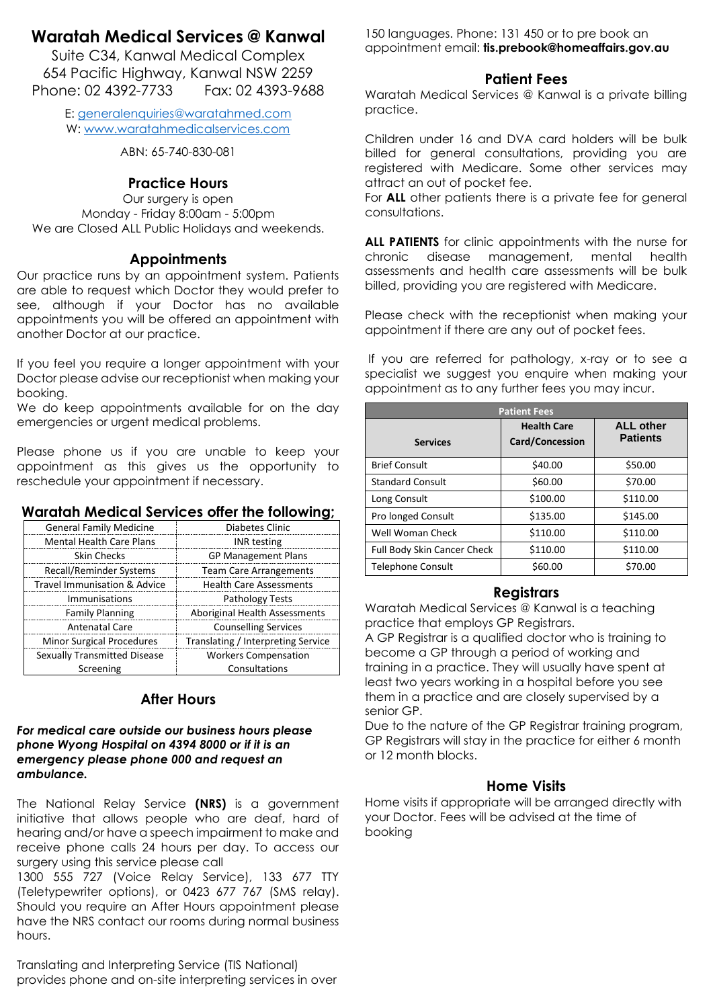# **Waratah Medical Services @ Kanwal**

Suite C34, Kanwal Medical Complex 654 Pacific Highway, Kanwal NSW 2259 Phone: 02 4392-7733 Fax: 02 4393-9688

> E: [generalenquiries@waratahmed.com](mailto:generalenquiries@waratahmed.com) W: [www.waratahmedicalservices.com](http://www.waratahmedicalservices.com/)

> > ABN: 65-740-830-081

# **Practice Hours**

Our surgery is open Monday - Friday 8:00am - 5:00pm We are Closed ALL Public Holidays and weekends.

# **Appointments**

Our practice runs by an appointment system. Patients are able to request which Doctor they would prefer to see, although if your Doctor has no available appointments you will be offered an appointment with another Doctor at our practice.

If you feel you require a longer appointment with your Doctor please advise our receptionist when making your booking.

We do keep appointments available for on the day emergencies or urgent medical problems.

Please phone us if you are unable to keep your appointment as this gives us the opportunity to reschedule your appointment if necessary.

| <b>General Family Medicine</b>   | Diabetes Clinic                    |  |
|----------------------------------|------------------------------------|--|
| <b>Mental Health Care Plans</b>  | <b>INR</b> testing                 |  |
| <b>Skin Checks</b>               | <b>GP Management Plans</b>         |  |
| Recall/Reminder Systems          | <b>Team Care Arrangements</b>      |  |
| Travel Immunisation & Advice     | <b>Health Care Assessments</b>     |  |
| Immunisations                    | Pathology Tests                    |  |
| <b>Family Planning</b>           | Aboriginal Health Assessments      |  |
| <b>Antenatal Care</b>            | <b>Counselling Services</b>        |  |
| <b>Minor Surgical Procedures</b> | Translating / Interpreting Service |  |
| Sexually Transmitted Disease     | <b>Workers Compensation</b>        |  |

# **Waratah Medical Services offer the following;**

# **After Hours**

Consultations

#### *For medical care outside our business hours please phone Wyong Hospital on 4394 8000 or if it is an emergency please phone 000 and request an ambulance.*

Screening

The National Relay Service **(NRS)** is a government initiative that allows people who are deaf, hard of hearing and/or have a speech impairment to make and receive phone calls 24 hours per day. To access our surgery using this service please call

1300 555 727 (Voice Relay Service), 133 677 TTY (Teletypewriter options), or 0423 677 767 (SMS relay). Should you require an After Hours appointment please have the NRS contact our rooms during normal business hours.

Translating and Interpreting Service (TIS National) provides phone and on-site interpreting services in over 150 languages. Phone: 131 450 or to pre book an appointment email: **[tis.prebook@homeaffairs.gov.au](mailto:tis.prebook@homeaffairs.gov.au)**

# **Patient Fees**

Waratah Medical Services @ Kanwal is a private billing practice.

Children under 16 and DVA card holders will be bulk billed for general consultations, providing you are registered with Medicare. Some other services may attract an out of pocket fee.

For **ALL** other patients there is a private fee for general consultations.

**ALL PATIENTS** for clinic appointments with the nurse for chronic disease management, mental health assessments and health care assessments will be bulk billed, providing you are registered with Medicare.

Please check with the receptionist when making your appointment if there are any out of pocket fees.

If you are referred for pathology, x-ray or to see a specialist we suggest you enquire when making your appointment as to any further fees you may incur.

| <b>Patient Fees</b>         |                                              |                                     |  |
|-----------------------------|----------------------------------------------|-------------------------------------|--|
| <b>Services</b>             | <b>Health Care</b><br><b>Card/Concession</b> | <b>ALL other</b><br><b>Patients</b> |  |
| <b>Brief Consult</b>        | \$40.00                                      | \$50.00                             |  |
| <b>Standard Consult</b>     | \$60.00                                      | \$70.00                             |  |
| Long Consult                | \$100.00                                     | \$110.00                            |  |
| Pro longed Consult          | \$135.00                                     | \$145.00                            |  |
| Well Woman Check            | \$110.00                                     | \$110.00                            |  |
| Full Body Skin Cancer Check | \$110.00                                     | \$110.00                            |  |
| <b>Telephone Consult</b>    | \$60.00                                      | \$70.00                             |  |

## **Registrars**

Waratah Medical Services @ Kanwal is a teaching practice that employs GP Registrars.

A GP Registrar is a qualified doctor who is training to become a GP through a period of working and training in a practice. They will usually have spent at least two years working in a hospital before you see them in a practice and are closely supervised by a senior GP.

Due to the nature of the GP Registrar training program, GP Registrars will stay in the practice for either 6 month or 12 month blocks.

# **Home Visits**

Home visits if appropriate will be arranged directly with your Doctor. Fees will be advised at the time of booking